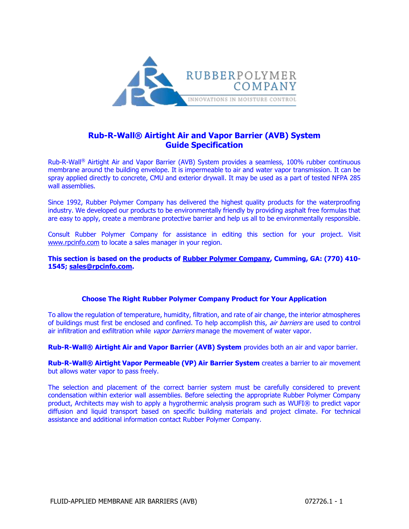

# **Rub-R-Wall® Airtight Air and Vapor Barrier (AVB) System Guide Specification**

Rub-R-Wall® Airtight Air and Vapor Barrier (AVB) System provides a seamless, 100% rubber continuous membrane around the building envelope. It is impermeable to air and water vapor transmission. It can be spray applied directly to concrete, CMU and exterior drywall. It may be used as a part of tested NFPA 285 wall assemblies.

Since 1992, Rubber Polymer Company has delivered the highest quality products for the waterproofing industry. We developed our products to be environmentally friendly by providing asphalt free formulas that are easy to apply, create a membrane protective barrier and help us all to be environmentally responsible.

Consult Rubber Polymer Company for assistance in editing this section for your project. Visit [www.rpcinfo.com](https://www.rpcinfo.com/) to locate a sales manager in your region.

**This section is based on the products of [Rubber Polymer Company,](https://www.rpcinfo.com/) Cumming, GA: (770) 410- 1545; [sales@rpcinfo.com.](mailto:sales@rpcinfo.com)**

## **Choose The Right Rubber Polymer Company Product for Your Application**

To allow the regulation of temperature, humidity, filtration, and rate of air change, the interior atmospheres of buildings must first be enclosed and confined. To help accomplish this, air barriers are used to control air infiltration and exfiltration while vapor barriers manage the movement of water vapor.

**Rub-R-Wall® Airtight Air and Vapor Barrier (AVB) System** provides both an air and vapor barrier.

**Rub-R-Wall® Airtight Vapor Permeable (VP) Air Barrier System** creates a barrier to air movement but allows water vapor to pass freely.

The selection and placement of the correct barrier system must be carefully considered to prevent condensation within exterior wall assemblies. Before selecting the appropriate Rubber Polymer Company product, Architects may wish to apply a hygrothermic analysis program such as WUFI® to predict vapor diffusion and liquid transport based on specific building materials and project climate. For technical assistance and additional information contact Rubber Polymer Company.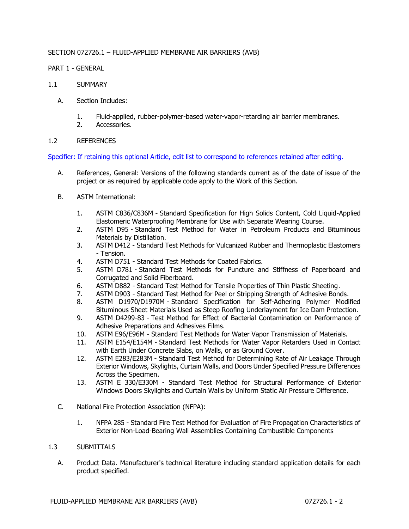## SECTION 072726.1 – FLUID-APPLIED MEMBRANE AIR BARRIERS (AVB)

## PART 1 - GENERAL

- 1.1 SUMMARY
	- A. Section Includes:
		- 1. Fluid-applied, rubber-polymer-based water-vapor-retarding air barrier membranes.
		- 2. Accessories.

## 1.2 REFERENCES

Specifier: If retaining this optional Article, edit list to correspond to references retained after editing.

- A. References, General: Versions of the following standards current as of the date of issue of the project or as required by applicable code apply to the Work of this Section.
- B. ASTM International:
	- 1. ASTM C836/C836M Standard Specification for High Solids Content, Cold Liquid-Applied Elastomeric Waterproofing Membrane for Use with Separate Wearing Course.
	- 2. ASTM D95 Standard Test Method for Water in Petroleum Products and Bituminous Materials by Distillation.
	- 3. ASTM D412 Standard Test Methods for Vulcanized Rubber and Thermoplastic Elastomers - Tension.
	- 4. ASTM D751 Standard Test Methods for Coated Fabrics.
	- 5. ASTM D781 Standard Test Methods for Puncture and Stiffness of Paperboard and Corrugated and Solid Fiberboard.
	- 6. ASTM D882 Standard Test Method for Tensile Properties of Thin Plastic Sheeting.
	- 7. ASTM D903 Standard Test Method for Peel or Stripping Strength of Adhesive Bonds.
	- 8. ASTM D1970/D1970M Standard Specification for Self-Adhering Polymer Modified Bituminous Sheet Materials Used as Steep Roofing Underlayment for Ice Dam Protection.
	- 9. ASTM D4299-83 Test Method for Effect of Bacterial Contamination on Performance of Adhesive Preparations and Adhesives Films.
	- 10. ASTM E96/E96M Standard Test Methods for Water Vapor Transmission of Materials.
	- 11. ASTM E154/E154M Standard Test Methods for Water Vapor Retarders Used in Contact with Earth Under Concrete Slabs, on Walls, or as Ground Cover.
	- 12. ASTM E283/E283M Standard Test Method for Determining Rate of Air Leakage Through Exterior Windows, Skylights, Curtain Walls, and Doors Under Specified Pressure Differences Across the Specimen.
	- 13. ASTM E 330/E330M Standard Test Method for Structural Performance of Exterior Windows Doors Skylights and Curtain Walls by Uniform Static Air Pressure Difference.
- C. National Fire Protection Association (NFPA):
	- 1. NFPA 285 Standard Fire Test Method for Evaluation of Fire Propagation Characteristics of Exterior Non-Load-Bearing Wall Assemblies Containing Combustible Components

## 1.3 SUBMITTALS

A. Product Data. Manufacturer's technical literature including standard application details for each product specified.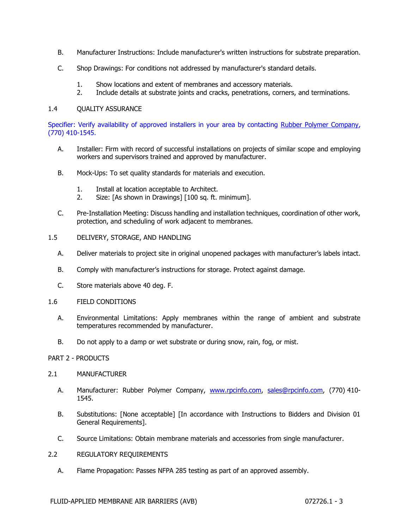- B. Manufacturer Instructions: Include manufacturer's written instructions for substrate preparation.
- C. Shop Drawings: For conditions not addressed by manufacturer's standard details.
	- 1. Show locations and extent of membranes and accessory materials.
	- 2. Include details at substrate joints and cracks, penetrations, corners, and terminations.

## 1.4 QUALITY ASSURANCE

Specifier: Verify availability of approved installers in your area by contacting [Rubber Polymer Company,](https://www.rpcinfo.com/commercial-waterproofing.html) (770) 410-1545.

- A. Installer: Firm with record of successful installations on projects of similar scope and employing workers and supervisors trained and approved by manufacturer.
- B. Mock-Ups: To set quality standards for materials and execution.
	- 1. Install at location acceptable to Architect.
	- 2. Size: [As shown in Drawings] [100 sq. ft. minimum].
- C. Pre-Installation Meeting: Discuss handling and installation techniques, coordination of other work, protection, and scheduling of work adjacent to membranes.
- 1.5 DELIVERY, STORAGE, AND HANDLING
	- A. Deliver materials to project site in original unopened packages with manufacturer's labels intact.
	- B. Comply with manufacturer's instructions for storage. Protect against damage.
	- C. Store materials above 40 deg. F.
- 1.6 FIELD CONDITIONS
	- A. Environmental Limitations: Apply membranes within the range of ambient and substrate temperatures recommended by manufacturer.
	- B. Do not apply to a damp or wet substrate or during snow, rain, fog, or mist.

## PART 2 - PRODUCTS

## 2.1 MANUFACTURER

- A. Manufacturer: Rubber Polymer Company, [www.rpcinfo.com,](https://www.rpcinfo.com/) [sales@rpcinfo.com,](mailto:sales@rpcinfo.com) (770) 410- 1545.
- B. Substitutions: [None acceptable] [In accordance with Instructions to Bidders and Division 01 General Requirements].
- C. Source Limitations: Obtain membrane materials and accessories from single manufacturer.
- 2.2 REGULATORY REQUIREMENTS
	- A. Flame Propagation: Passes NFPA 285 testing as part of an approved assembly.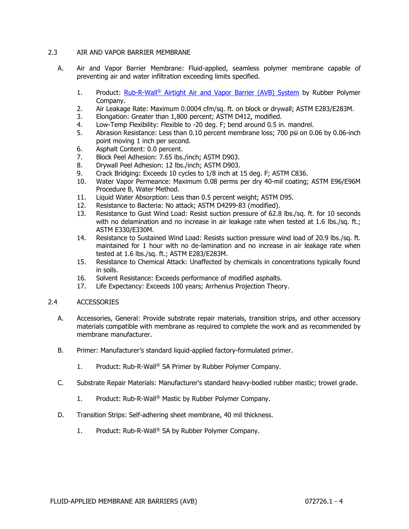## 2.3 AIR AND VAPOR BARRIER MEMBRANE

- A. Air and Vapor Barrier Membrane: Fluid-applied, seamless polymer membrane capable of preventing air and water infiltration exceeding limits specified.
	- 1. Product: [Rub-R-Wall](https://www.rpcinfo.com/prod_rrwairtightvp_main.html)<sup>®</sup> Airtight Air and Vapor Barrier (AVB) System by Rubber Polymer Company.
	- 2. Air Leakage Rate: Maximum 0.0004 cfm/sq. ft. on block or drywall; ASTM E283/E283M.
	- 3. Elongation: Greater than 1,800 percent; ASTM D412, modified.
	- 4. Low-Temp Flexibility: Flexible to -20 deg. F; bend around 0.5 in. mandrel.
	- 5. Abrasion Resistance: Less than 0.10 percent membrane loss; 700 psi on 0.06 by 0.06-inch point moving 1 inch per second.
	- 6. Asphalt Content: 0.0 percent.
	- 7. Block Peel Adhesion: 7.65 lbs./inch; ASTM D903.
	- 8. Drywall Peel Adhesion: 12 lbs./inch; ASTM D903.
	- 9. Crack Bridging: Exceeds 10 cycles to 1/8 inch at 15 deg. F; ASTM C836.
	- 10. Water Vapor Permeance: Maximum 0.08 perms per dry 40-mil coating; ASTM E96/E96M Procedure B, Water Method.
	- 11. Liquid Water Absorption: Less than 0.5 percent weight; ASTM D95.
	- 12. Resistance to Bacteria: No attack; ASTM D4299-83 (modified).
	- 13. Resistance to Gust Wind Load: Resist suction pressure of 62.8 lbs./sq. ft. for 10 seconds with no delamination and no increase in air leakage rate when tested at 1.6 lbs./sq. ft.; ASTM E330/E330M.
	- 14. Resistance to Sustained Wind Load: Resists suction pressure wind load of 20.9 lbs./sq. ft. maintained for 1 hour with no de-lamination and no increase in air leakage rate when tested at 1.6 lbs./sq. ft.; ASTM E283/E283M.
	- 15. Resistance to Chemical Attack: Unaffected by chemicals in concentrations typically found in soils.
	- 16. Solvent Resistance: Exceeds performance of modified asphalts.
	- 17. Life Expectancy: Exceeds 100 years; Arrhenius Projection Theory.

## 2.4 ACCESSORIES

- A. Accessories, General: Provide substrate repair materials, transition strips, and other accessory materials compatible with membrane as required to complete the work and as recommended by membrane manufacturer.
- B. Primer: Manufacturer's standard liquid-applied factory-formulated primer.
	- 1. Product: Rub-R-Wall® SA Primer by Rubber Polymer Company.
- C. Substrate Repair Materials: Manufacturer's standard heavy-bodied rubber mastic; trowel grade.
	- 1. Product: Rub-R-Wall® Mastic by Rubber Polymer Company.
- D. Transition Strips: Self-adhering sheet membrane, 40 mil thickness.
	- 1. Product: Rub-R-Wall® SA by Rubber Polymer Company.